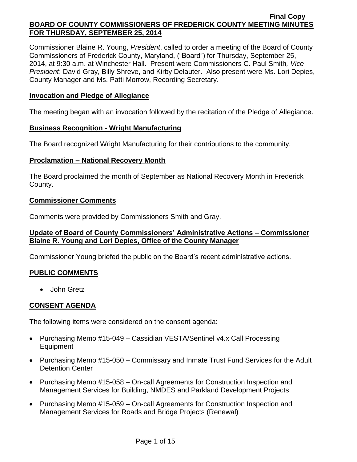Commissioner Blaine R. Young, *President*, called to order a meeting of the Board of County Commissioners of Frederick County, Maryland, ("Board") for Thursday, September 25, 2014, at 9:30 a.m. at Winchester Hall. Present were Commissioners C. Paul Smith*, Vice President*; David Gray, Billy Shreve, and Kirby Delauter. Also present were Ms. Lori Depies, County Manager and Ms. Patti Morrow, Recording Secretary.

### **Invocation and Pledge of Allegiance**

The meeting began with an invocation followed by the recitation of the Pledge of Allegiance.

### **Business Recognition - Wright Manufacturing**

The Board recognized Wright Manufacturing for their contributions to the community.

### **Proclamation – National Recovery Month**

The Board proclaimed the month of September as National Recovery Month in Frederick County.

### **Commissioner Comments**

Comments were provided by Commissioners Smith and Gray.

## **Update of Board of County Commissioners' Administrative Actions – Commissioner Blaine R. Young and Lori Depies, Office of the County Manager**

Commissioner Young briefed the public on the Board's recent administrative actions.

## **PUBLIC COMMENTS**

• John Gretz

## **CONSENT AGENDA**

The following items were considered on the consent agenda:

- Purchasing Memo #15-049 Cassidian VESTA/Sentinel v4.x Call Processing Equipment
- Purchasing Memo #15-050 Commissary and Inmate Trust Fund Services for the Adult Detention Center
- Purchasing Memo #15-058 On-call Agreements for Construction Inspection and Management Services for Building, NMDES and Parkland Development Projects
- Purchasing Memo #15-059 On-call Agreements for Construction Inspection and Management Services for Roads and Bridge Projects (Renewal)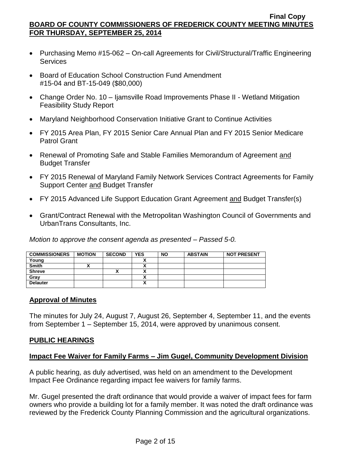- Purchasing Memo #15-062 On-call Agreements for Civil/Structural/Traffic Engineering **Services**
- Board of Education School Construction Fund Amendment #15-04 and BT-15-049 (\$80,000)
- Change Order No. 10 Ijamsville Road Improvements Phase II Wetland Mitigation Feasibility Study Report
- Maryland Neighborhood Conservation Initiative Grant to Continue Activities
- FY 2015 Area Plan, FY 2015 Senior Care Annual Plan and FY 2015 Senior Medicare Patrol Grant
- Renewal of Promoting Safe and Stable Families Memorandum of Agreement and Budget Transfer
- FY 2015 Renewal of Maryland Family Network Services Contract Agreements for Family Support Center and Budget Transfer
- FY 2015 Advanced Life Support Education Grant Agreement and Budget Transfer(s)
- Grant/Contract Renewal with the Metropolitan Washington Council of Governments and UrbanTrans Consultants, Inc.

*Motion to approve the consent agenda as presented – Passed 5-0.*

| <b>COMMISSIONERS</b> | <b>MOTION</b> | <b>SECOND</b> | <b>YES</b> | <b>NO</b> | <b>ABSTAIN</b> | <b>NOT PRESENT</b> |
|----------------------|---------------|---------------|------------|-----------|----------------|--------------------|
| Young                |               |               |            |           |                |                    |
| <b>Smith</b>         |               |               |            |           |                |                    |
| <b>Shreve</b>        |               |               |            |           |                |                    |
| Gray                 |               |               |            |           |                |                    |
| <b>Delauter</b>      |               |               | Λ          |           |                |                    |

## **Approval of Minutes**

The minutes for July 24, August 7, August 26, September 4, September 11, and the events from September 1 – September 15, 2014, were approved by unanimous consent.

## **PUBLIC HEARINGS**

## **Impact Fee Waiver for Family Farms – Jim Gugel, Community Development Division**

A public hearing, as duly advertised, was held on an amendment to the Development Impact Fee Ordinance regarding impact fee waivers for family farms.

Mr. Gugel presented the draft ordinance that would provide a waiver of impact fees for farm owners who provide a building lot for a family member. It was noted the draft ordinance was reviewed by the Frederick County Planning Commission and the agricultural organizations.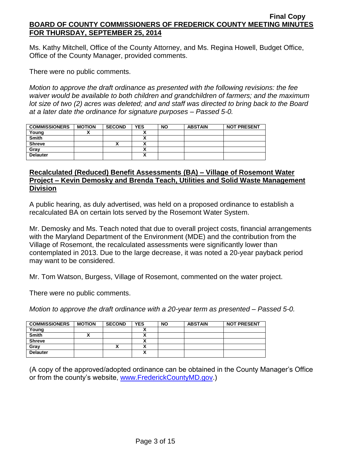Ms. Kathy Mitchell, Office of the County Attorney, and Ms. Regina Howell, Budget Office, Office of the County Manager, provided comments.

There were no public comments.

*Motion to approve the draft ordinance as presented with the following revisions: the fee waiver would be available to both children and grandchildren of farmers; and the maximum lot size of two (2) acres was deleted; and and staff was directed to bring back to the Board at a later date the ordinance for signature purposes – Passed 5-0.*

| <b>COMMISSIONERS</b> | <b>MOTION</b> | <b>SECOND</b> | <b>YES</b> | <b>NO</b> | <b>ABSTAIN</b> | <b>NOT PRESENT</b> |
|----------------------|---------------|---------------|------------|-----------|----------------|--------------------|
| Young                |               |               |            |           |                |                    |
| <b>Smith</b>         |               |               |            |           |                |                    |
| <b>Shreve</b>        |               |               |            |           |                |                    |
| Gray                 |               |               |            |           |                |                    |
| <b>Delauter</b>      |               |               | Λ          |           |                |                    |

## **Recalculated (Reduced) Benefit Assessments (BA) – Village of Rosemont Water Project – Kevin Demosky and Brenda Teach, Utilities and Solid Waste Management Division**

A public hearing, as duly advertised, was held on a proposed ordinance to establish a recalculated BA on certain lots served by the Rosemont Water System.

Mr. Demosky and Ms. Teach noted that due to overall project costs, financial arrangements with the Maryland Department of the Environment (MDE) and the contribution from the Village of Rosemont, the recalculated assessments were significantly lower than contemplated in 2013. Due to the large decrease, it was noted a 20-year payback period may want to be considered.

Mr. Tom Watson, Burgess, Village of Rosemont, commented on the water project.

There were no public comments.

*Motion to approve the draft ordinance with a 20-year term as presented – Passed 5-0.*

| <b>COMMISSIONERS</b> | <b>MOTION</b> | <b>SECOND</b> | <b>YES</b> | <b>NO</b> | <b>ABSTAIN</b> | <b>NOT PRESENT</b> |
|----------------------|---------------|---------------|------------|-----------|----------------|--------------------|
| Young                |               |               |            |           |                |                    |
| <b>Smith</b>         |               |               |            |           |                |                    |
| <b>Shreve</b>        |               |               |            |           |                |                    |
| Grav                 |               | Λ             |            |           |                |                    |
| <b>Delauter</b>      |               |               |            |           |                |                    |

(A copy of the approved/adopted ordinance can be obtained in the County Manager's Office or from the county's website, [www.FrederickCountyMD.gov.](http://www.frederickcountymd.gov/))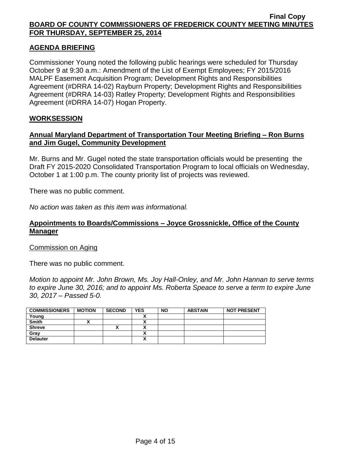## **AGENDA BRIEFING**

Commissioner Young noted the following public hearings were scheduled for Thursday October 9 at 9:30 a.m.: Amendment of the List of Exempt Employees; FY 2015/2016 MALPF Easement Acquisition Program; Development Rights and Responsibilities Agreement (#DRRA 14-02) Rayburn Property; Development Rights and Responsibilities Agreement (#DRRA 14-03) Ratley Property; Development Rights and Responsibilities Agreement (#DRRA 14-07) Hogan Property.

### **WORKSESSION**

# **Annual Maryland Department of Transportation Tour Meeting Briefing – Ron Burns and Jim Gugel, Community Development**

Mr. Burns and Mr. Gugel noted the state transportation officials would be presenting the Draft FY 2015-2020 Consolidated Transportation Program to local officials on Wednesday, October 1 at 1:00 p.m. The county priority list of projects was reviewed.

There was no public comment.

*No action was taken as this item was informational.*

### **Appointments to Boards/Commissions – Joyce Grossnickle, Office of the County Manager**

#### Commission on Aging

There was no public comment.

*Motion to appoint Mr. John Brown, Ms. Joy Hall-Onley, and Mr. John Hannan to serve terms to expire June 30, 2016; and to appoint Ms. Roberta Speace to serve a term to expire June 30, 2017 – Passed 5-0.*

| <b>COMMISSIONERS</b> | <b>MOTION</b> | <b>SECOND</b> | <b>YES</b> | <b>NO</b> | <b>ABSTAIN</b> | <b>NOT PRESENT</b> |
|----------------------|---------------|---------------|------------|-----------|----------------|--------------------|
| Young                |               |               |            |           |                |                    |
| Smith                |               |               |            |           |                |                    |
| <b>Shreve</b>        |               | Λ             |            |           |                |                    |
| Gray                 |               |               |            |           |                |                    |
| <b>Delauter</b>      |               |               |            |           |                |                    |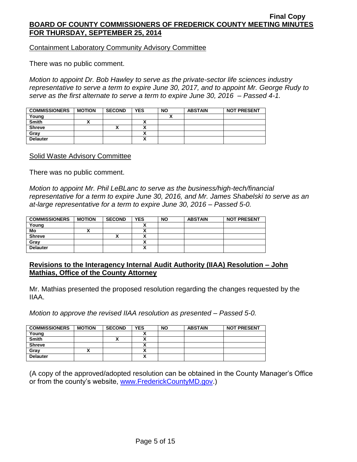Containment Laboratory Community Advisory Committee

There was no public comment.

*Motion to appoint Dr. Bob Hawley to serve as the private-sector life sciences industry representative to serve a term to expire June 30, 2017, and to appoint Mr. George Rudy to serve as the first alternate to serve a term to expire June 30, 2016 – Passed 4-1.*

| <b>COMMISSIONERS</b> | <b>MOTION</b> | <b>SECOND</b> | <b>YES</b> | <b>NO</b> | <b>ABSTAIN</b> | <b>NOT PRESENT</b> |
|----------------------|---------------|---------------|------------|-----------|----------------|--------------------|
| Young                |               |               |            |           |                |                    |
| <b>Smith</b>         |               |               | ~          |           |                |                    |
| <b>Shreve</b>        |               |               |            |           |                |                    |
| Gray                 |               |               |            |           |                |                    |
| <b>Delauter</b>      |               |               | <br>Λ      |           |                |                    |

### Solid Waste Advisory Committee

There was no public comment.

*Motion to appoint Mr. Phil LeBLanc to serve as the business/high-tech/financial representative for a term to expire June 30, 2016, and Mr. James Shabelski to serve as an at-large representative for a term to expire June 30, 2016 – Passed 5-0.*

| <b>COMMISSIONERS</b> | <b>MOTION</b> | <b>SECOND</b> | <b>YES</b> | <b>NO</b> | <b>ABSTAIN</b> | <b>NOT PRESENT</b> |
|----------------------|---------------|---------------|------------|-----------|----------------|--------------------|
| Young                |               |               |            |           |                |                    |
| Mo                   |               |               |            |           |                |                    |
| <b>Shreve</b>        |               | '             |            |           |                |                    |
| Gray                 |               |               |            |           |                |                    |
| <b>Delauter</b>      |               |               | v          |           |                |                    |

### **Revisions to the Interagency Internal Audit Authority (IIAA) Resolution – John Mathias, Office of the County Attorney**

Mr. Mathias presented the proposed resolution regarding the changes requested by the IIAA.

*Motion to approve the revised IIAA resolution as presented – Passed 5-0.*

| <b>COMMISSIONERS</b> | <b>MOTION</b> | <b>SECOND</b> | <b>YES</b> | <b>NO</b> | <b>ABSTAIN</b> | <b>NOT PRESENT</b> |
|----------------------|---------------|---------------|------------|-----------|----------------|--------------------|
| Young                |               |               |            |           |                |                    |
| <b>Smith</b>         |               | ^             | v          |           |                |                    |
| <b>Shreve</b>        |               |               |            |           |                |                    |
| Gray                 |               |               |            |           |                |                    |
| <b>Delauter</b>      |               |               |            |           |                |                    |

(A copy of the approved/adopted resolution can be obtained in the County Manager's Office or from the county's website, [www.FrederickCountyMD.gov.](http://www.frederickcountymd.gov/))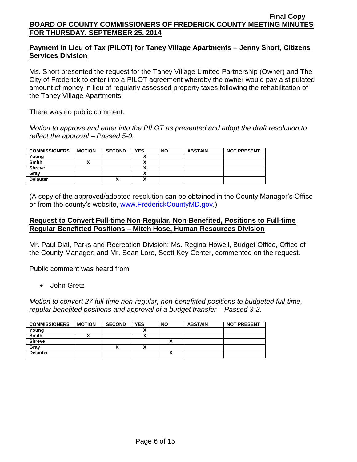# **Payment in Lieu of Tax (PILOT) for Taney Village Apartments – Jenny Short, Citizens Services Division**

Ms. Short presented the request for the Taney Village Limited Partnership (Owner) and The City of Frederick to enter into a PILOT agreement whereby the owner would pay a stipulated amount of money in lieu of regularly assessed property taxes following the rehabilitation of the Taney Village Apartments.

There was no public comment.

*Motion to approve and enter into the PILOT as presented and adopt the draft resolution to reflect the approval – Passed 5-0.*

| <b>COMMISSIONERS</b> | <b>MOTION</b> | <b>SECOND</b> | <b>YES</b> | <b>NO</b> | <b>ABSTAIN</b> | <b>NOT PRESENT</b> |
|----------------------|---------------|---------------|------------|-----------|----------------|--------------------|
| Young                |               |               |            |           |                |                    |
| <b>Smith</b>         |               |               |            |           |                |                    |
| <b>Shreve</b>        |               |               |            |           |                |                    |
| Grav                 |               |               |            |           |                |                    |
| <b>Delauter</b>      |               |               |            |           |                |                    |

(A copy of the approved/adopted resolution can be obtained in the County Manager's Office or from the county's website, [www.FrederickCountyMD.gov.](http://www.frederickcountymd.gov/))

## **Request to Convert Full-time Non-Regular, Non-Benefited, Positions to Full-time Regular Benefitted Positions – Mitch Hose, Human Resources Division**

Mr. Paul Dial, Parks and Recreation Division; Ms. Regina Howell, Budget Office, Office of the County Manager; and Mr. Sean Lore, Scott Key Center, commented on the request.

Public comment was heard from:

• John Gretz

*Motion to convert 27 full-time non-regular, non-benefitted positions to budgeted full-time, regular benefited positions and approval of a budget transfer – Passed 3-2.*

| <b>COMMISSIONERS</b> | <b>MOTION</b> | <b>SECOND</b> | <b>YES</b> | <b>NO</b> | <b>ABSTAIN</b> | <b>NOT PRESENT</b> |
|----------------------|---------------|---------------|------------|-----------|----------------|--------------------|
| Young                |               |               |            |           |                |                    |
| <b>Smith</b>         |               |               |            |           |                |                    |
| <b>Shreve</b>        |               |               |            |           |                |                    |
| Gray                 |               |               |            |           |                |                    |
| <b>Delauter</b>      |               |               |            |           |                |                    |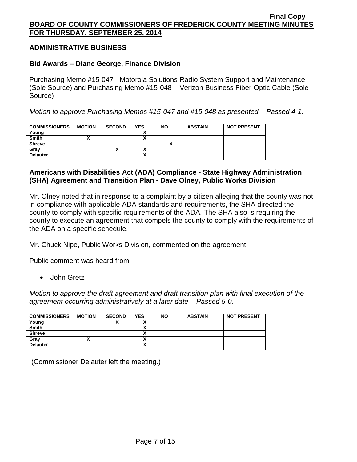### **ADMINISTRATIVE BUSINESS**

## **Bid Awards – Diane George, Finance Division**

Purchasing Memo #15-047 - Motorola Solutions Radio System Support and Maintenance (Sole Source) and Purchasing Memo #15-048 – Verizon Business Fiber-Optic Cable (Sole Source)

*Motion to approve Purchasing Memos #15-047 and #15-048 as presented – Passed 4-1.*

| <b>COMMISSIONERS</b> | <b>MOTION</b> | <b>SECOND</b> | <b>YES</b> | <b>NO</b> | <b>ABSTAIN</b> | <b>NOT PRESENT</b> |
|----------------------|---------------|---------------|------------|-----------|----------------|--------------------|
| Young                |               |               |            |           |                |                    |
| <b>Smith</b>         |               |               |            |           |                |                    |
| <b>Shreve</b>        |               |               |            |           |                |                    |
| Grav                 |               |               |            |           |                |                    |
| <b>Delauter</b>      |               |               |            |           |                |                    |

## **Americans with Disabilities Act (ADA) Compliance - State Highway Administration (SHA) Agreement and Transition Plan - Dave Olney, Public Works Division**

Mr. Olney noted that in response to a complaint by a citizen alleging that the county was not in compliance with applicable ADA standards and requirements, the SHA directed the county to comply with specific requirements of the ADA. The SHA also is requiring the county to execute an agreement that compels the county to comply with the requirements of the ADA on a specific schedule.

Mr. Chuck Nipe, Public Works Division, commented on the agreement.

Public comment was heard from:

• John Gretz

*Motion to approve the draft agreement and draft transition plan with final execution of the agreement occurring administratively at a later date – Passed 5-0.*

| <b>COMMISSIONERS</b> | <b>MOTION</b> | <b>SECOND</b> | <b>YES</b> | <b>NO</b> | <b>ABSTAIN</b> | <b>NOT PRESENT</b> |
|----------------------|---------------|---------------|------------|-----------|----------------|--------------------|
| Young                |               |               |            |           |                |                    |
| <b>Smith</b>         |               |               |            |           |                |                    |
| <b>Shreve</b>        |               |               | ~          |           |                |                    |
| Gray                 |               |               | ^          |           |                |                    |
| <b>Delauter</b>      |               |               | ^          |           |                |                    |

(Commissioner Delauter left the meeting.)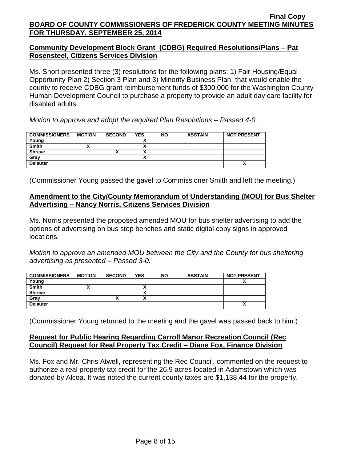# **Community Development Block Grant (CDBG) Required Resolutions/Plans – Pat Rosensteel, Citizens Services Division**

Ms. Short presented three (3) resolutions for the following plans: 1) Fair Housing/Equal Opportunity Plan 2) Section 3 Plan and 3) Minority Business Plan, that would enable the county to receive CDBG grant reimbursement funds of \$300,000 for the Washington County Human Development Council to purchase a property to provide an adult day care facility for disabled adults.

*Motion to approve and adopt the required Plan Resolutions – Passed 4-0.*

| <b>COMMISSIONERS</b> | <b>MOTION</b> | <b>SECOND</b> | <b>YES</b> | <b>NO</b> | <b>ABSTAIN</b> | <b>NOT PRESENT</b> |
|----------------------|---------------|---------------|------------|-----------|----------------|--------------------|
| Young                |               |               |            |           |                |                    |
| <b>Smith</b>         |               |               |            |           |                |                    |
| <b>Shreve</b>        |               | ́             |            |           |                |                    |
| Gray                 |               |               | A          |           |                |                    |
| <b>Delauter</b>      |               |               |            |           |                | $\mathbf{\Lambda}$ |

(Commissioner Young passed the gavel to Commissioner Smith and left the meeting.)

# **Amendment to the City/County Memorandum of Understanding (MOU) for Bus Shelter Advertising – Nancy Norris, Citizens Services Division**

Ms. Norris presented the proposed amended MOU for bus shelter advertising to add the options of advertising on bus stop benches and static digital copy signs in approved locations.

*Motion to approve an amended MOU between the City and the County for bus sheltering advertising as presented – Passed 3-0.*

| <b>COMMISSIONERS</b> | <b>MOTION</b> | <b>SECOND</b> | <b>YES</b> | <b>NO</b> | <b>ABSTAIN</b> | <b>NOT PRESENT</b> |
|----------------------|---------------|---------------|------------|-----------|----------------|--------------------|
| Young                |               |               |            |           |                |                    |
| <b>Smith</b>         |               |               |            |           |                |                    |
| <b>Shreve</b>        |               |               |            |           |                |                    |
| Gray                 |               | ́             |            |           |                |                    |
| <b>Delauter</b>      |               |               |            |           |                | Δ                  |

(Commissioner Young returned to the meeting and the gavel was passed back to him.)

## **Request for Public Hearing Regarding Carroll Manor Recreation Council (Rec Council) Request for Real Property Tax Credit – Diane Fox, Finance Division**

Ms. Fox and Mr. Chris Atwell, representing the Rec Council, commented on the request to authorize a real property tax credit for the 26.9 acres located in Adamstown which was donated by Alcoa. It was noted the current county taxes are \$1,138.44 for the property.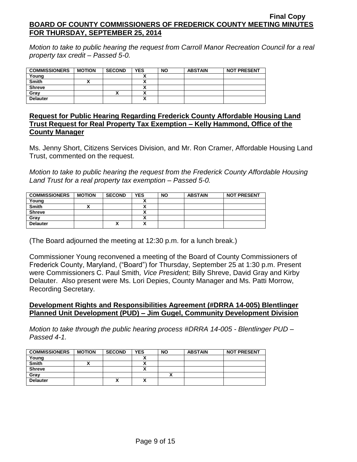*Motion to take to public hearing the request from Carroll Manor Recreation Council for a real property tax credit – Passed 5-0.*

| <b>COMMISSIONERS</b> | <b>MOTION</b> | <b>SECOND</b> | <b>YES</b> | <b>NO</b> | <b>ABSTAIN</b> | <b>NOT PRESENT</b> |
|----------------------|---------------|---------------|------------|-----------|----------------|--------------------|
| Young                |               |               |            |           |                |                    |
| <b>Smith</b>         |               |               |            |           |                |                    |
| <b>Shreve</b>        |               |               |            |           |                |                    |
| Grav                 |               | Λ             |            |           |                |                    |
| <b>Delauter</b>      |               |               |            |           |                |                    |
|                      |               |               |            |           |                |                    |

**Request for Public Hearing Regarding Frederick County Affordable Housing Land Trust Request for Real Property Tax Exemption – Kelly Hammond, Office of the County Manager**

Ms. Jenny Short, Citizens Services Division, and Mr. Ron Cramer, Affordable Housing Land Trust, commented on the request.

*Motion to take to public hearing the request from the Frederick County Affordable Housing Land Trust for a real property tax exemption – Passed 5-0.*

| <b>COMMISSIONERS</b> | <b>MOTION</b> | <b>SECOND</b>          | <b>YES</b> | <b>NO</b> | <b>ABSTAIN</b> | <b>NOT PRESENT</b> |
|----------------------|---------------|------------------------|------------|-----------|----------------|--------------------|
| Young                |               |                        |            |           |                |                    |
| <b>Smith</b>         |               |                        |            |           |                |                    |
| <b>Shreve</b>        |               |                        |            |           |                |                    |
| Gray                 |               |                        |            |           |                |                    |
| <b>Delauter</b>      |               | $\mathbf{\mathcal{L}}$ | ^          |           |                |                    |

(The Board adjourned the meeting at 12:30 p.m. for a lunch break.)

Commissioner Young reconvened a meeting of the Board of County Commissioners of Frederick County, Maryland, ("Board") for Thursday, September 25 at 1:30 p.m. Present were Commissioners C. Paul Smith*, Vice President;* Billy Shreve, David Gray and Kirby Delauter. Also present were Ms. Lori Depies, County Manager and Ms. Patti Morrow, Recording Secretary.

## **Development Rights and Responsibilities Agreement (#DRRA 14-005) Blentlinger Planned Unit Development (PUD) – Jim Gugel, Community Development Division**

*Motion to take through the public hearing process #DRRA 14-005 - Blentlinger PUD – Passed 4-1.*

| <b>COMMISSIONERS</b> | <b>MOTION</b> | <b>SECOND</b> | <b>YES</b> | <b>NO</b> | <b>ABSTAIN</b> | <b>NOT PRESENT</b> |
|----------------------|---------------|---------------|------------|-----------|----------------|--------------------|
| Young                |               |               |            |           |                |                    |
| <b>Smith</b>         |               |               |            |           |                |                    |
| <b>Shreve</b>        |               |               |            |           |                |                    |
| Gray                 |               |               |            |           |                |                    |
| <b>Delauter</b>      |               | Λ             |            |           |                |                    |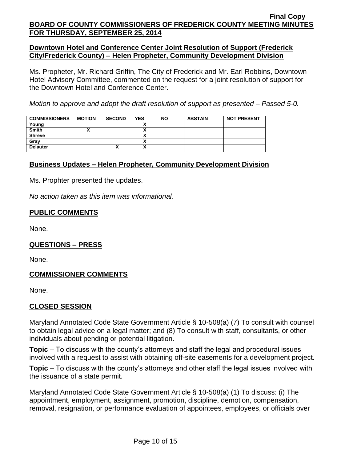## **Downtown Hotel and Conference Center Joint Resolution of Support (Frederick City/Frederick County) – Helen Propheter, Community Development Division**

Ms. Propheter, Mr. Richard Griffin, The City of Frederick and Mr. Earl Robbins, Downtown Hotel Advisory Committee, commented on the request for a joint resolution of support for the Downtown Hotel and Conference Center.

*Motion to approve and adopt the draft resolution of support as presented – Passed 5-0.*

| <b>COMMISSIONERS</b> | <b>MOTION</b> | <b>SECOND</b> | <b>YES</b> | <b>NO</b> | <b>ABSTAIN</b> | <b>NOT PRESENT</b> |
|----------------------|---------------|---------------|------------|-----------|----------------|--------------------|
| Young                |               |               |            |           |                |                    |
| <b>Smith</b>         |               |               |            |           |                |                    |
| <b>Shreve</b>        |               |               |            |           |                |                    |
| Gray                 |               |               |            |           |                |                    |
| <b>Delauter</b>      |               | Λ             | A          |           |                |                    |

## **Business Updates – Helen Propheter, Community Development Division**

Ms. Prophter presented the updates.

*No action taken as this item was informational.*

## **PUBLIC COMMENTS**

None.

## **QUESTIONS – PRESS**

None.

## **COMMISSIONER COMMENTS**

None.

## **CLOSED SESSION**

Maryland Annotated Code State Government Article § 10-508(a) (7) To consult with counsel to obtain legal advice on a legal matter; and (8) To consult with staff, consultants, or other individuals about pending or potential litigation.

**Topic** – To discuss with the county's attorneys and staff the legal and procedural issues involved with a request to assist with obtaining off-site easements for a development project.

**Topic** – To discuss with the county's attorneys and other staff the legal issues involved with the issuance of a state permit.

Maryland Annotated Code State Government Article § 10-508(a) (1) To discuss: (i) The appointment, employment, assignment, promotion, discipline, demotion, compensation, removal, resignation, or performance evaluation of appointees, employees, or officials over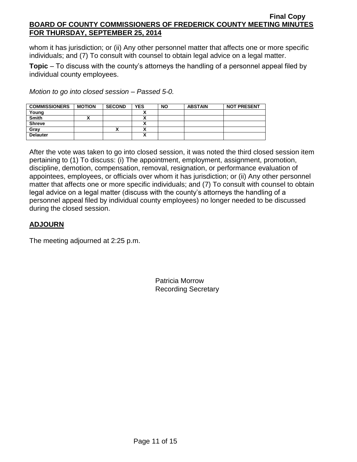whom it has jurisdiction; or (ii) Any other personnel matter that affects one or more specific individuals; and (7) To consult with counsel to obtain legal advice on a legal matter.

**Topic** – To discuss with the county's attorneys the handling of a personnel appeal filed by individual county employees.

*Motion to go into closed session – Passed 5-0.*

| <b>COMMISSIONERS</b> | <b>MOTION</b> | <b>SECOND</b> | <b>YES</b> | <b>NO</b> | <b>ABSTAIN</b> | <b>NOT PRESENT</b> |
|----------------------|---------------|---------------|------------|-----------|----------------|--------------------|
| Young                |               |               |            |           |                |                    |
| <b>Smith</b>         |               |               |            |           |                |                    |
| <b>Shreve</b>        |               |               |            |           |                |                    |
| Gray                 |               | "             |            |           |                |                    |
| <b>Delauter</b>      |               |               | A          |           |                |                    |

After the vote was taken to go into closed session, it was noted the third closed session item pertaining to (1) To discuss: (i) The appointment, employment, assignment, promotion, discipline, demotion, compensation, removal, resignation, or performance evaluation of appointees, employees, or officials over whom it has jurisdiction; or (ii) Any other personnel matter that affects one or more specific individuals; and (7) To consult with counsel to obtain legal advice on a legal matter (discuss with the county's attorneys the handling of a personnel appeal filed by individual county employees) no longer needed to be discussed during the closed session.

# **ADJOURN**

The meeting adjourned at 2:25 p.m.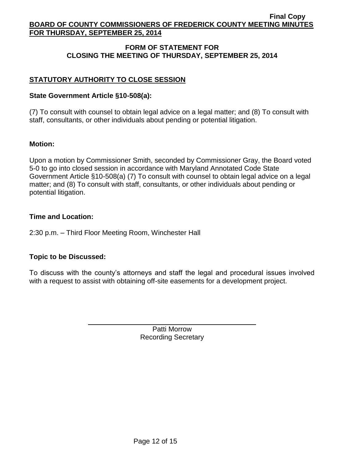# **FORM OF STATEMENT FOR CLOSING THE MEETING OF THURSDAY, SEPTEMBER 25, 2014**

# **STATUTORY AUTHORITY TO CLOSE SESSION**

### **State Government Article §10-508(a):**

(7) To consult with counsel to obtain legal advice on a legal matter; and (8) To consult with staff, consultants, or other individuals about pending or potential litigation.

### **Motion:**

Upon a motion by Commissioner Smith, seconded by Commissioner Gray, the Board voted 5-0 to go into closed session in accordance with Maryland Annotated Code State Government Article §10-508(a) (7) To consult with counsel to obtain legal advice on a legal matter; and (8) To consult with staff, consultants, or other individuals about pending or potential litigation.

### **Time and Location:**

2:30 p.m. – Third Floor Meeting Room, Winchester Hall

## **Topic to be Discussed:**

To discuss with the county's attorneys and staff the legal and procedural issues involved with a request to assist with obtaining off-site easements for a development project.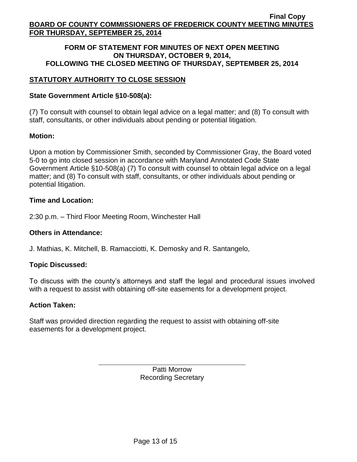#### **FORM OF STATEMENT FOR MINUTES OF NEXT OPEN MEETING ON THURSDAY, OCTOBER 9, 2014, FOLLOWING THE CLOSED MEETING OF THURSDAY, SEPTEMBER 25, 2014**

# **STATUTORY AUTHORITY TO CLOSE SESSION**

### **State Government Article §10-508(a):**

(7) To consult with counsel to obtain legal advice on a legal matter; and (8) To consult with staff, consultants, or other individuals about pending or potential litigation.

### **Motion:**

Upon a motion by Commissioner Smith, seconded by Commissioner Gray, the Board voted 5-0 to go into closed session in accordance with Maryland Annotated Code State Government Article §10-508(a) (7) To consult with counsel to obtain legal advice on a legal matter; and (8) To consult with staff, consultants, or other individuals about pending or potential litigation.

### **Time and Location:**

2:30 p.m. – Third Floor Meeting Room, Winchester Hall

#### **Others in Attendance:**

J. Mathias, K. Mitchell, B. Ramacciotti, K. Demosky and R. Santangelo,

## **Topic Discussed:**

To discuss with the county's attorneys and staff the legal and procedural issues involved with a request to assist with obtaining off-site easements for a development project.

#### **Action Taken:**

Staff was provided direction regarding the request to assist with obtaining off-site easements for a development project.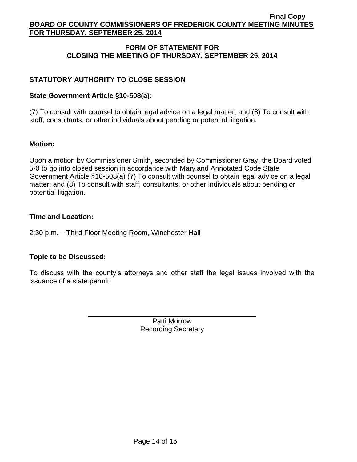# **FORM OF STATEMENT FOR CLOSING THE MEETING OF THURSDAY, SEPTEMBER 25, 2014**

# **STATUTORY AUTHORITY TO CLOSE SESSION**

### **State Government Article §10-508(a):**

(7) To consult with counsel to obtain legal advice on a legal matter; and (8) To consult with staff, consultants, or other individuals about pending or potential litigation.

### **Motion:**

Upon a motion by Commissioner Smith, seconded by Commissioner Gray, the Board voted 5-0 to go into closed session in accordance with Maryland Annotated Code State Government Article §10-508(a) (7) To consult with counsel to obtain legal advice on a legal matter; and (8) To consult with staff, consultants, or other individuals about pending or potential litigation.

### **Time and Location:**

2:30 p.m. – Third Floor Meeting Room, Winchester Hall

## **Topic to be Discussed:**

To discuss with the county's attorneys and other staff the legal issues involved with the issuance of a state permit.